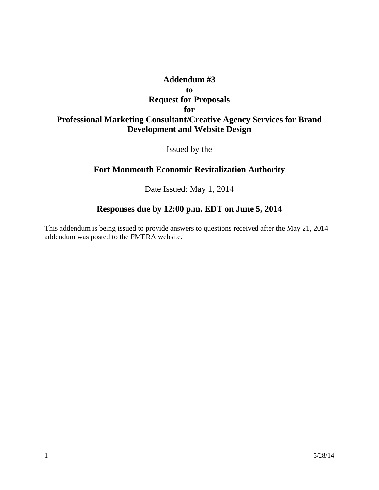## **Addendum #3 to Request for Proposals for Professional Marketing Consultant/Creative Agency Services for Brand Development and Website Design**

Issued by the

## **Fort Monmouth Economic Revitalization Authority**

Date Issued: May 1, 2014

## **Responses due by 12:00 p.m. EDT on June 5, 2014**

This addendum is being issued to provide answers to questions received after the May 21, 2014 addendum was posted to the FMERA website.